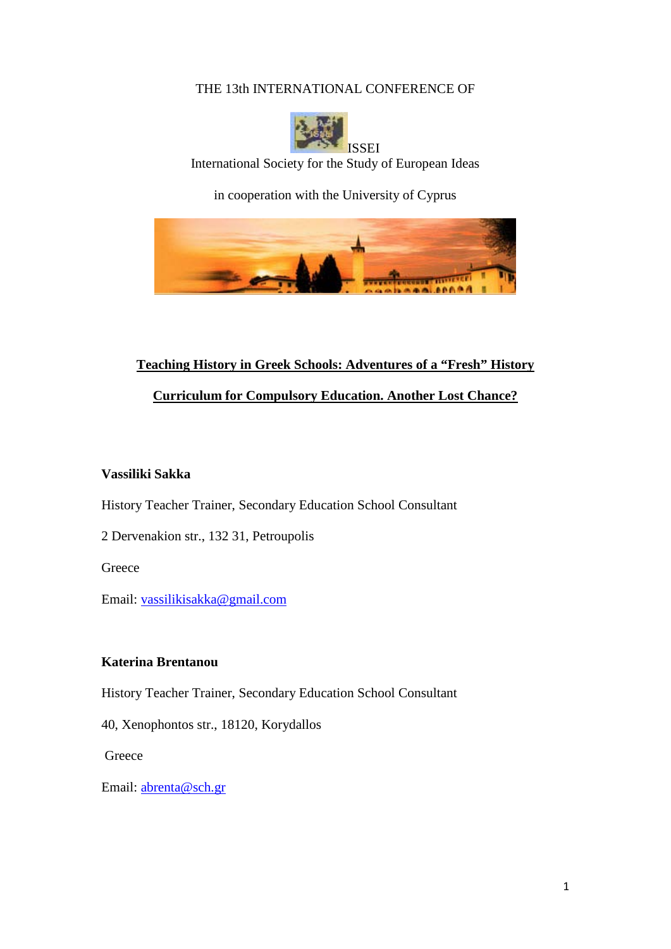## THE 13th INTERNATIONAL CONFERENCE OF



International Society for the Study of European Ideas

in cooperation with the University of Cyprus



# **Teaching History in Greek Schools: Adventures of a "Fresh" History**

**Curriculum for Compulsory Education. Another Lost Chance?**

## **Vassiliki Sakka**

History Teacher Trainer, Secondary Education School Consultant

2 Dervenakion str., 132 31, Petroupolis

**Greece** 

Email: [vassilikisakka@gmail.com](mailto:vassilikisakka@gmail.com)

## **Katerina Brentanou**

History Teacher Trainer, Secondary Education School Consultant

40, Xenophontos str., 18120, Korydallos

**Greece** 

Email: [abrenta@sch.gr](mailto:abrenta@sch.gr)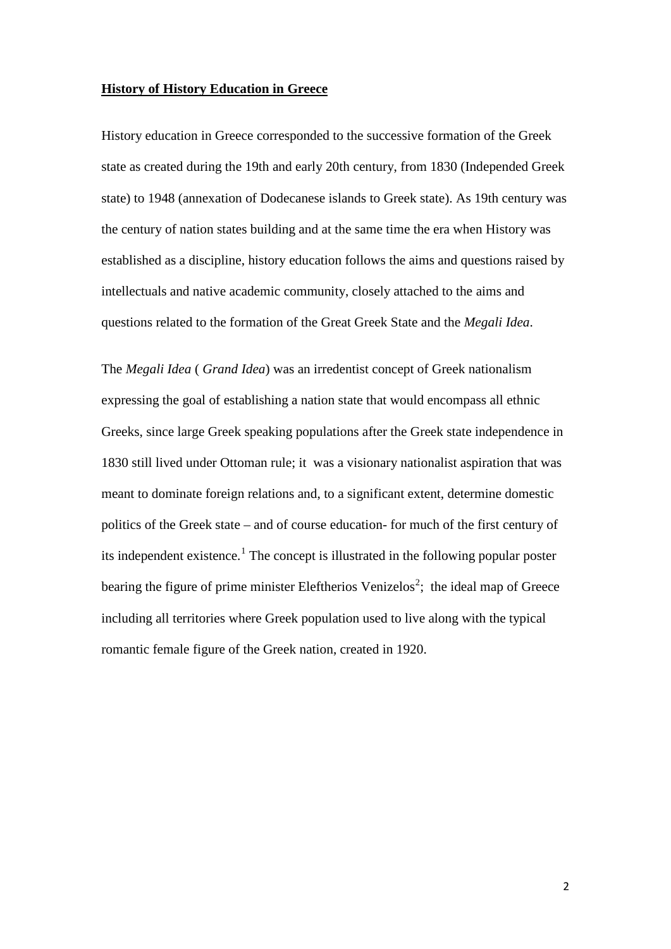#### **History of History Education in Greece**

History education in Greece corresponded to the successive formation of the Greek state as created during the 19th and early 20th century, from 1830 (Independed Greek state) to 1948 (annexation of Dodecanese islands to Greek state). As 19th century was the century of nation states building and at the same time the era when History was established as a discipline, history education follows the aims and questions raised by intellectuals and native academic community, closely attached to the aims and questions related to the formation of the Great Greek State and the *Megali Idea*.

The *Megali Idea* ( *Grand Idea*) was an irredentist concept of Greek nationalism expressing the goal of establishing a nation state that would encompass all ethnic Greeks, since large Greek speaking populations after the Greek state independence in 1830 still lived under Ottoman rule; it was a visionary nationalist aspiration that was meant to dominate foreign relations and, to a significant extent, determine domestic politics of the Greek state – and of course education- for much of the first century of its independent existence.<sup>[1](#page-12-0)</sup> The concept is illustrated in the following popular poster bearing the figure of prime minister Eleftherios Venizelos<sup>[2](#page-13-0)</sup>; the ideal map of Greece including all territories where Greek population used to live along with the typical romantic female figure of the Greek nation, created in 1920.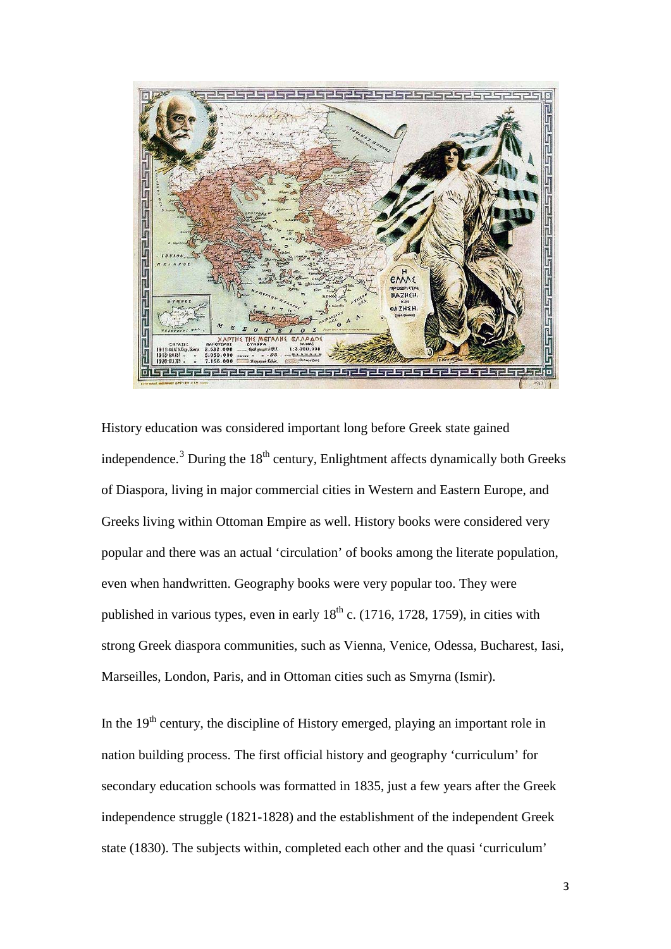

History education was considered important long before Greek state gained independence.<sup>[3](#page-13-1)</sup> During the  $18<sup>th</sup>$  century, Enlightment affects dynamically both Greeks of Diaspora, living in major commercial cities in Western and Eastern Europe, and Greeks living within Ottoman Empire as well. History books were considered very popular and there was an actual 'circulation' of books among the literate population, even when handwritten. Geography books were very popular too. They were published in various types, even in early  $18<sup>th</sup>$  c. (1716, 1728, 1759), in cities with strong Greek diaspora communities, such as Vienna, Venice, Odessa, Bucharest, Iasi, Marseilles, London, Paris, and in Ottoman cities such as Smyrna (Ismir).

In the 19<sup>th</sup> century, the discipline of History emerged, playing an important role in nation building process. The first official history and geography 'curriculum' for secondary education schools was formatted in 1835, just a few years after the Greek independence struggle (1821-1828) and the establishment of the independent Greek state (1830). The subjects within, completed each other and the quasi 'curriculum'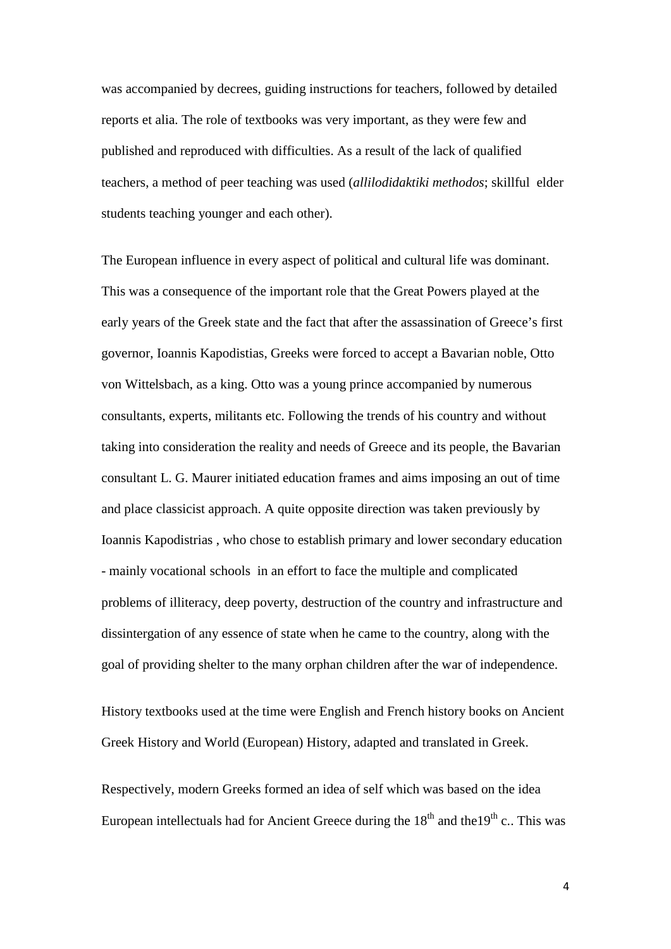was accompanied by decrees, guiding instructions for teachers, followed by detailed reports et alia. The role of textbooks was very important, as they were few and published and reproduced with difficulties. As a result of the lack of qualified teachers, a method of peer teaching was used (*allilodidaktiki methodos*; skillful elder students teaching younger and each other).

The European influence in every aspect of political and cultural life was dominant. This was a consequence of the important role that the Great Powers played at the early years of the Greek state and the fact that after the assassination of Greece's first governor, Ioannis Kapodistias, Greeks were forced to accept a Bavarian noble, Otto von Wittelsbach, as a king. Otto was a young prince accompanied by numerous consultants, experts, militants etc. Following the trends of his country and without taking into consideration the reality and needs of Greece and its people, the Bavarian consultant L. G. Maurer initiated education frames and aims imposing an out of time and place classicist approach. A quite opposite direction was taken previously by Ioannis Kapodistrias , who chose to establish primary and lower secondary education - mainly vocational schools in an effort to face the multiple and complicated problems of illiteracy, deep poverty, destruction of the country and infrastructure and dissintergation of any essence of state when he came to the country, along with the goal of providing shelter to the many orphan children after the war of independence.

History textbooks used at the time were English and French history books on Ancient Greek History and World (European) History, adapted and translated in Greek.

Respectively, modern Greeks formed an idea of self which was based on the idea European intellectuals had for Ancient Greece during the  $18<sup>th</sup>$  and the  $19<sup>th</sup>$  c.. This was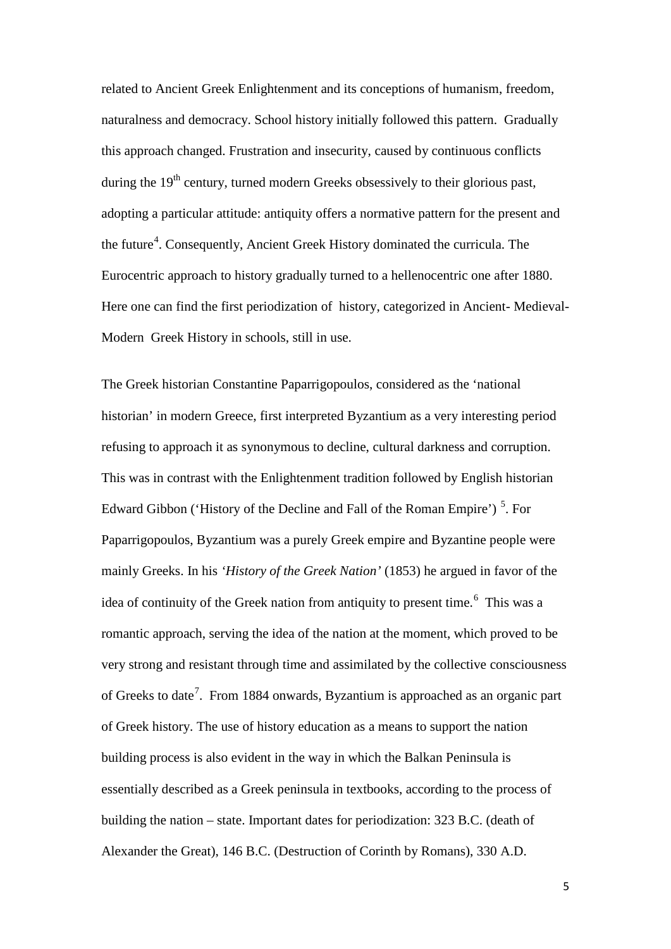related to Ancient Greek Enlightenment and its conceptions of humanism, freedom, naturalness and democracy. School history initially followed this pattern. Gradually this approach changed. Frustration and insecurity, caused by continuous conflicts during the  $19<sup>th</sup>$  century, turned modern Greeks obsessively to their glorious past, adopting a particular attitude: antiquity offers a normative pattern for the present and the future<sup>[4](#page-13-2)</sup>. Consequently, Ancient Greek History dominated the curricula. The Eurocentric approach to history gradually turned to a hellenocentric one after 1880. Here one can find the first periodization of history, categorized in Ancient- Medieval-Modern Greek History in schools, still in use.

The Greek historian Constantine Paparrigopoulos, considered as the 'national historian' in modern Greece, first interpreted Byzantium as a very interesting period refusing to approach it as synonymous to decline, cultural darkness and corruption. This was in contrast with the Enlightenment tradition followed by English historian Edward Gibbon ('History of the Decline and Fall of the Roman Empire')<sup>[5](#page-13-3)</sup>. For Paparrigopoulos, Byzantium was a purely Greek empire and Byzantine people were mainly Greeks. In his *'History of the Greek Nation'* (1853) he argued in favor of the idea of continuity of the Greek nation from antiquity to present time.<sup>[6](#page-13-4)</sup> This was a romantic approach, serving the idea of the nation at the moment, which proved to be very strong and resistant through time and assimilated by the collective consciousness of Greeks to date<sup>[7](#page-14-0)</sup>. From 1884 onwards, Byzantium is approached as an organic part of Greek history. The use of history education as a means to support the nation building process is also evident in the way in which the Balkan Peninsula is essentially described as a Greek peninsula in textbooks, according to the process of building the nation – state. Important dates for periodization: 323 B.C. (death of Alexander the Great), 146 B.C. (Destruction of Corinth by Romans), 330 A.D.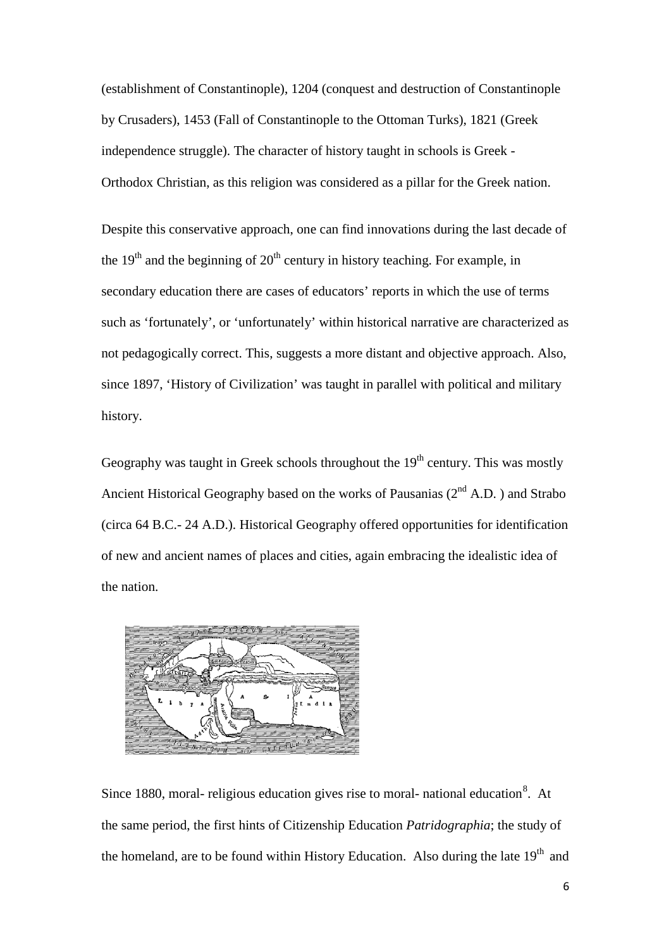(establishment of Constantinople), 1204 (conquest and destruction of Constantinople by Crusaders), 1453 (Fall of Constantinople to the Ottoman Turks), 1821 (Greek independence struggle). The character of history taught in schools is Greek - Orthodox Christian, as this religion was considered as a pillar for the Greek nation.

Despite this conservative approach, one can find innovations during the last decade of the  $19<sup>th</sup>$  and the beginning of  $20<sup>th</sup>$  century in history teaching. For example, in secondary education there are cases of educators' reports in which the use of terms such as 'fortunately', or 'unfortunately' within historical narrative are characterized as not pedagogically correct. This, suggests a more distant and objective approach. Also, since 1897, 'History of Civilization' was taught in parallel with political and military history.

Geography was taught in Greek schools throughout the  $19<sup>th</sup>$  century. This was mostly Ancient Historical Geography based on the works of Pausanias  $(2<sup>nd</sup> A.D.)$  and Strabo (circa 64 B.C.- 24 A.D.). Historical Geography offered opportunities for identification of new and ancient names of places and cities, again embracing the idealistic idea of the nation.



Since 1[8](#page-14-1)80, moral- religious education gives rise to moral- national education<sup>8</sup>. At the same period, the first hints of Citizenship Education *Patridographia*; the study of the homeland, are to be found within History Education. Also during the late  $19<sup>th</sup>$  and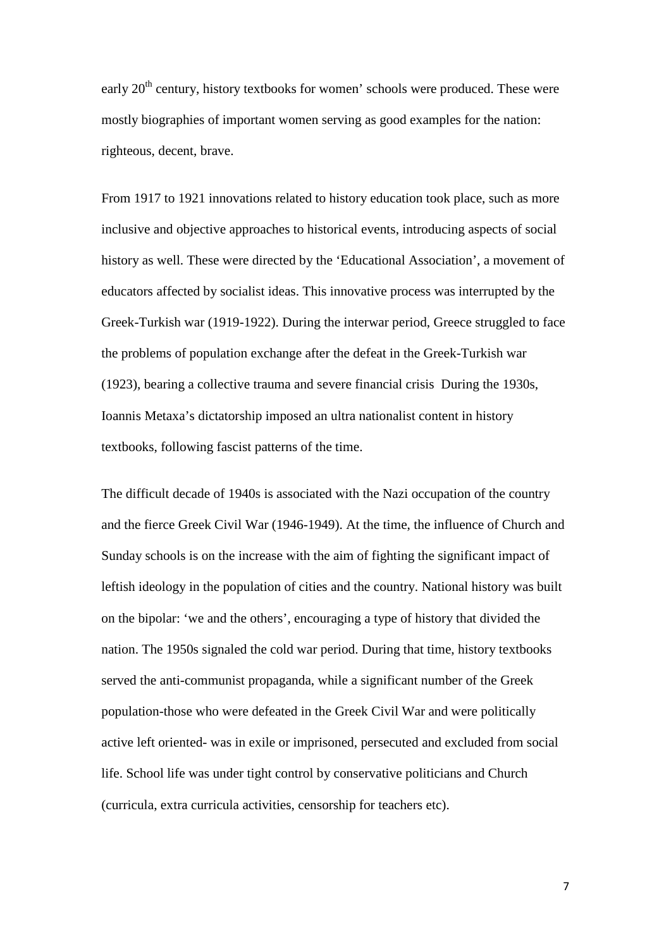early 20<sup>th</sup> century, history textbooks for women' schools were produced. These were mostly biographies of important women serving as good examples for the nation: righteous, decent, brave.

From 1917 to 1921 innovations related to history education took place, such as more inclusive and objective approaches to historical events, introducing aspects of social history as well. These were directed by the 'Educational Association', a movement of educators affected by socialist ideas. This innovative process was interrupted by the Greek-Turkish war (1919-1922). During the interwar period, Greece struggled to face the problems of population exchange after the defeat in the Greek-Turkish war (1923), bearing a collective trauma and severe financial crisis During the 1930s, Ioannis Metaxa's dictatorship imposed an ultra nationalist content in history textbooks, following fascist patterns of the time.

The difficult decade of 1940s is associated with the Nazi occupation of the country and the fierce Greek Civil War (1946-1949). At the time, the influence of Church and Sunday schools is on the increase with the aim of fighting the significant impact of leftish ideology in the population of cities and the country. National history was built on the bipolar: 'we and the others', encouraging a type of history that divided the nation. The 1950s signaled the cold war period. During that time, history textbooks served the anti-communist propaganda, while a significant number of the Greek population-those who were defeated in the Greek Civil War and were politically active left oriented- was in exile or imprisoned, persecuted and excluded from social life. School life was under tight control by conservative politicians and Church (curricula, extra curricula activities, censorship for teachers etc).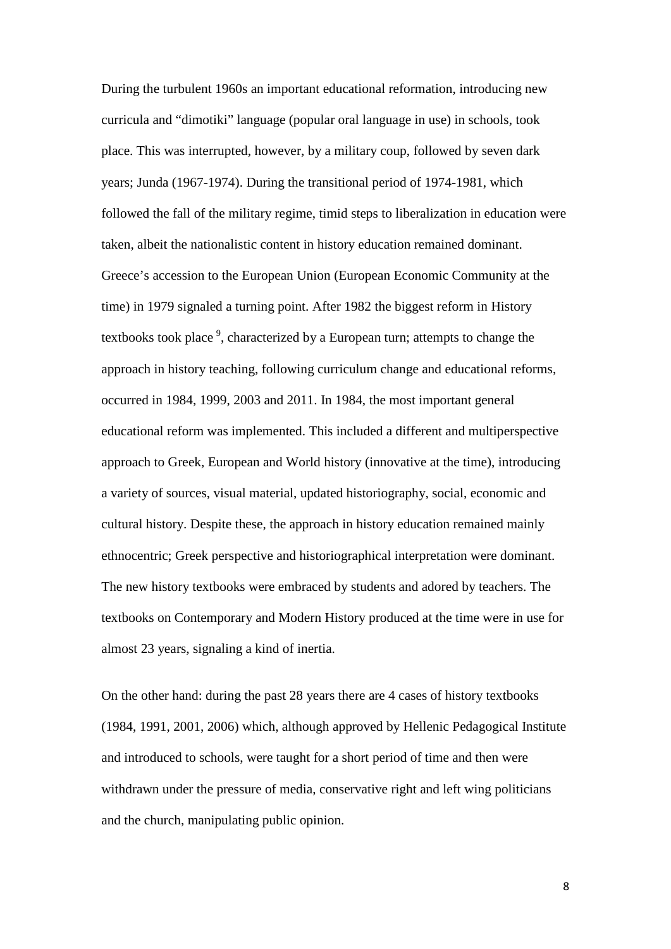During the turbulent 1960s an important educational reformation, introducing new curricula and "dimotiki" language (popular oral language in use) in schools, took place. This was interrupted, however, by a military coup, followed by seven dark years; Junda (1967-1974). During the transitional period of 1974-1981, which followed the fall of the military regime, timid steps to liberalization in education were taken, albeit the nationalistic content in history education remained dominant. Greece's accession to the European Union (European Economic Community at the time) in 1979 signaled a turning point. After 1982 the biggest reform in History textbooks took place<sup>[9](#page-14-2)</sup>, characterized by a European turn; attempts to change the approach in history teaching, following curriculum change and educational reforms, occurred in 1984, 1999, 2003 and 2011. In 1984, the most important general educational reform was implemented. This included a different and multiperspective approach to Greek, European and World history (innovative at the time), introducing a variety of sources, visual material, updated historiography, social, economic and cultural history. Despite these, the approach in history education remained mainly ethnocentric; Greek perspective and historiographical interpretation were dominant. The new history textbooks were embraced by students and adored by teachers. The textbooks on Contemporary and Modern History produced at the time were in use for almost 23 years, signaling a kind of inertia.

On the other hand: during the past 28 years there are 4 cases of history textbooks (1984, 1991, 2001, 2006) which, although approved by Hellenic Pedagogical Institute and introduced to schools, were taught for a short period of time and then were withdrawn under the pressure of media, conservative right and left wing politicians and the church, manipulating public opinion.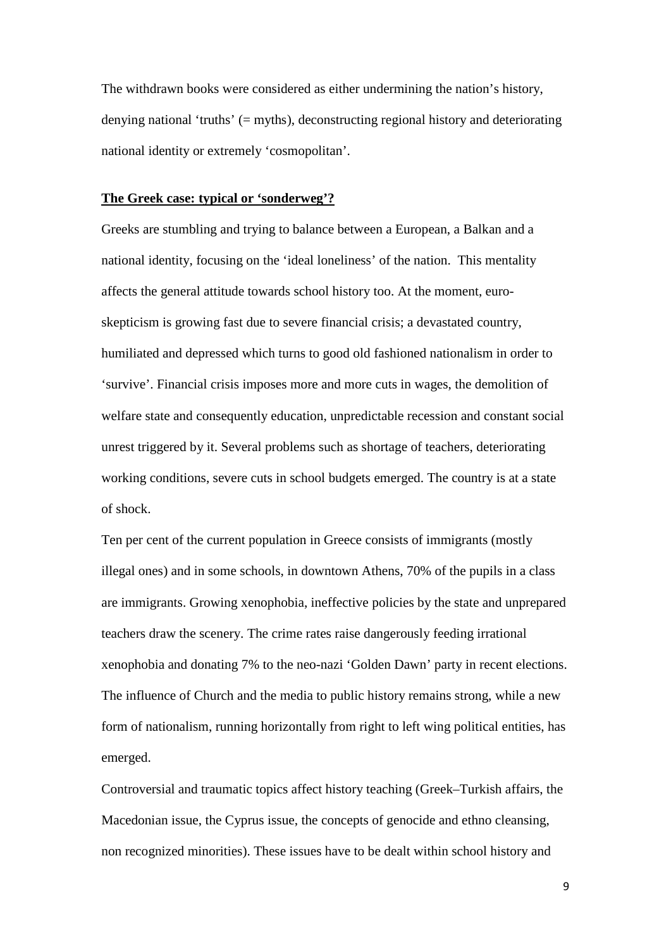The withdrawn books were considered as either undermining the nation's history, denying national 'truths' (= myths), deconstructing regional history and deteriorating national identity or extremely 'cosmopolitan'.

#### **The Greek case: typical or 'sonderweg'?**

Greeks are stumbling and trying to balance between a European, a Balkan and a national identity, focusing on the 'ideal loneliness' of the nation. This mentality affects the general attitude towards school history too. At the moment, euroskepticism is growing fast due to severe financial crisis; a devastated country, humiliated and depressed which turns to good old fashioned nationalism in order to 'survive'. Financial crisis imposes more and more cuts in wages, the demolition of welfare state and consequently education, unpredictable recession and constant social unrest triggered by it. Several problems such as shortage of teachers, deteriorating working conditions, severe cuts in school budgets emerged. The country is at a state of shock.

Ten per cent of the current population in Greece consists of immigrants (mostly illegal ones) and in some schools, in downtown Athens, 70% of the pupils in a class are immigrants. Growing xenophobia, ineffective policies by the state and unprepared teachers draw the scenery. The crime rates raise dangerously feeding irrational xenophobia and donating 7% to the neo-nazi 'Golden Dawn' party in recent elections. The influence of Church and the media to public history remains strong, while a new form of nationalism, running horizontally from right to left wing political entities, has emerged.

Controversial and traumatic topics affect history teaching (Greek–Turkish affairs, the Macedonian issue, the Cyprus issue, the concepts of genocide and ethno cleansing, non recognized minorities). These issues have to be dealt within school history and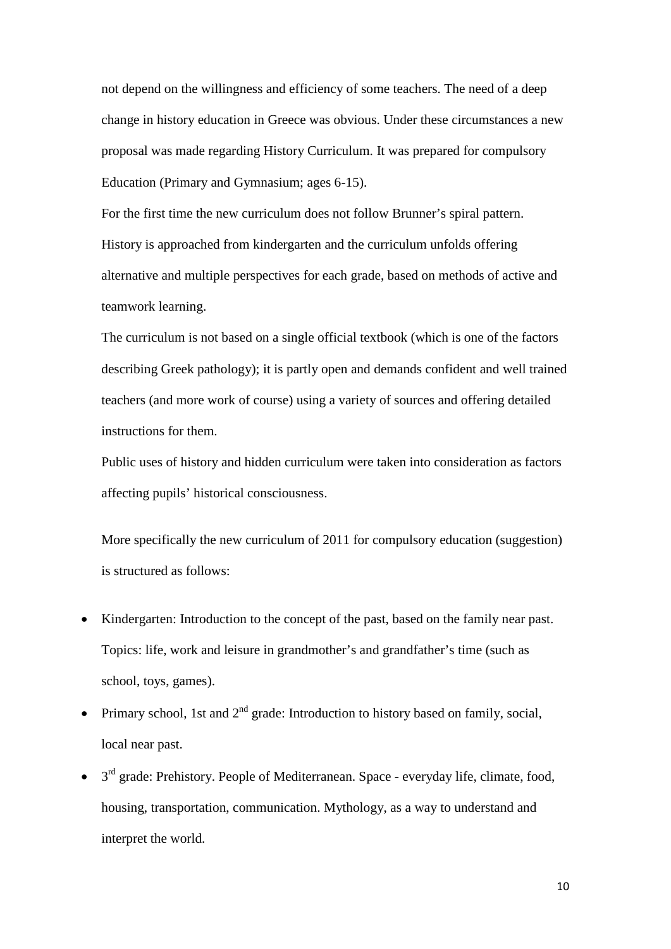not depend on the willingness and efficiency of some teachers. The need of a deep change in history education in Greece was obvious. Under these circumstances a new proposal was made regarding History Curriculum. It was prepared for compulsory Education (Primary and Gymnasium; ages 6-15).

For the first time the new curriculum does not follow Brunner's spiral pattern. History is approached from kindergarten and the curriculum unfolds offering alternative and multiple perspectives for each grade, based on methods of active and teamwork learning.

The curriculum is not based on a single official textbook (which is one of the factors describing Greek pathology); it is partly open and demands confident and well trained teachers (and more work of course) using a variety of sources and offering detailed instructions for them.

Public uses of history and hidden curriculum were taken into consideration as factors affecting pupils' historical consciousness.

More specifically the new curriculum of 2011 for compulsory education (suggestion) is structured as follows:

- Kindergarten: Introduction to the concept of the past, based on the family near past. Topics: life, work and leisure in grandmother's and grandfather's time (such as school, toys, games).
- Primary school, 1st and  $2<sup>nd</sup>$  grade: Introduction to history based on family, social, local near past.
- $\bullet$  3<sup>rd</sup> grade: Prehistory. People of Mediterranean. Space everyday life, climate, food, housing, transportation, communication. Mythology, as a way to understand and interpret the world.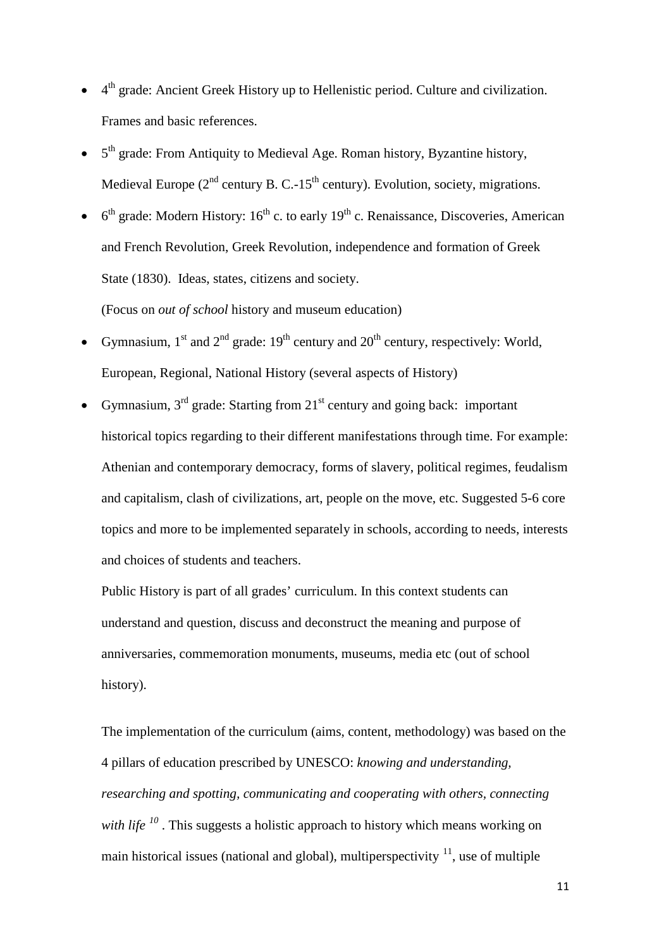- 4<sup>th</sup> grade: Ancient Greek History up to Hellenistic period. Culture and civilization. Frames and basic references.
- $\bullet$  5<sup>th</sup> grade: From Antiquity to Medieval Age. Roman history, Byzantine history, Medieval Europe ( $2<sup>nd</sup>$  century B. C.-15<sup>th</sup> century). Evolution, society, migrations.
- $6<sup>th</sup>$  grade: Modern History:  $16<sup>th</sup>$  c. to early  $19<sup>th</sup>$  c. Renaissance, Discoveries, American (Focus on *out of school* history and museum education) and French Revolution, Greek Revolution, independence and formation of Greek State (1830). Ideas, states, citizens and society.
- Gymnasium,  $1<sup>st</sup>$  and  $2<sup>nd</sup>$  grade:  $19<sup>th</sup>$  century and  $20<sup>th</sup>$  century, respectively: World, European, Regional, National History (several aspects of History)
- Gymnasium,  $3<sup>rd</sup>$  grade: Starting from  $21<sup>st</sup>$  century and going back: important historical topics regarding to their different manifestations through time. For example: Athenian and contemporary democracy, forms of slavery, political regimes, feudalism and capitalism, clash of civilizations, art, people on the move, etc. Suggested 5-6 core topics and more to be implemented separately in schools, according to needs, interests and choices of students and teachers.

Public History is part of all grades' curriculum. In this context students can understand and question, discuss and deconstruct the meaning and purpose of anniversaries, commemoration monuments, museums, media etc (out of school history).

The implementation of the curriculum (aims, content, methodology) was based on the 4 pillars of education prescribed by UNESCO: *knowing and understanding, researching and spotting, communicating and cooperating with others, connecting with life* <sup>[10](#page-14-3)</sup>. This suggests a holistic approach to history which means working on main historical issues (national and global), multiperspectivity  $\frac{11}{1}$  $\frac{11}{1}$  $\frac{11}{1}$ , use of multiple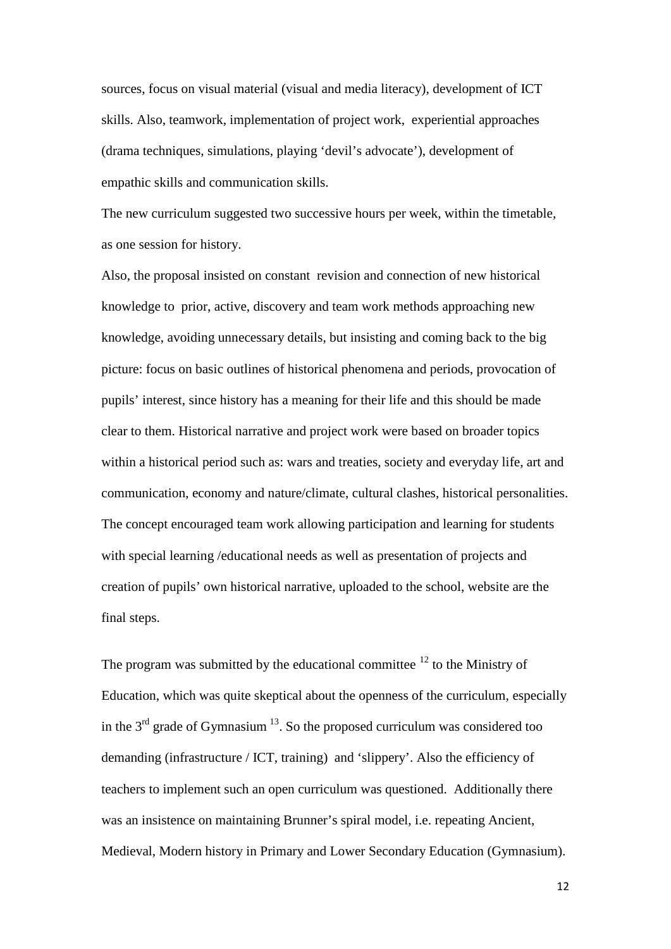sources, focus on visual material (visual and media literacy), development of ICT skills. Also, teamwork, implementation of project work, experiential approaches (drama techniques, simulations, playing 'devil's advocate'), development of empathic skills and communication skills.

The new curriculum suggested two successive hours per week, within the timetable, as one session for history.

Also, the proposal insisted on constant revision and connection of new historical knowledge to prior, active, discovery and team work methods approaching new knowledge, avoiding unnecessary details, but insisting and coming back to the big picture: focus on basic outlines of historical phenomena and periods, provocation of pupils' interest, since history has a meaning for their life and this should be made clear to them. Historical narrative and project work were based on broader topics within a historical period such as: wars and treaties, society and everyday life, art and communication, economy and nature/climate, cultural clashes, historical personalities. The concept encouraged team work allowing participation and learning for students with special learning /educational needs as well as presentation of projects and creation of pupils' own historical narrative, uploaded to the school, website are the final steps.

The program was submitted by the educational committee  $12$  to the Ministry of Education, which was quite skeptical about the openness of the curriculum, especially in the  $3<sup>rd</sup>$  grade of Gymnasium  $<sup>13</sup>$ . So the proposed curriculum was considered too</sup> demanding (infrastructure / ICT, training) and 'slippery'. Also the efficiency of teachers to implement such an open curriculum was questioned. Additionally there was an insistence on maintaining Brunner's spiral model, i.e. repeating Ancient, Medieval, Modern history in Primary and Lower Secondary Education (Gymnasium).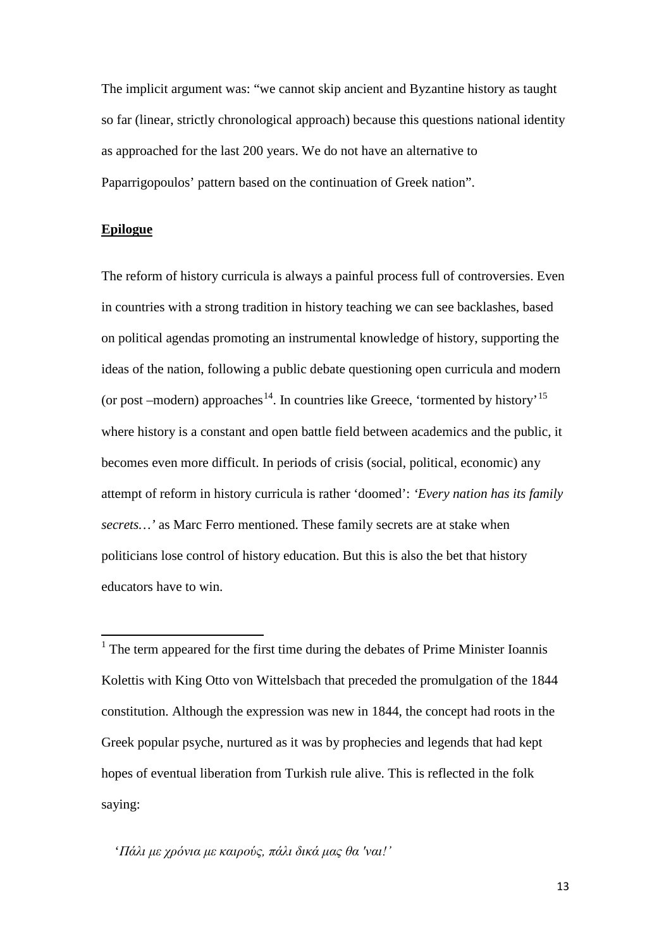The implicit argument was: "we cannot skip ancient and Byzantine history as taught so far (linear, strictly chronological approach) because this questions national identity as approached for the last 200 years. We do not have an alternative to Paparrigopoulos' pattern based on the continuation of Greek nation".

### **Epilogue**

The reform of history curricula is always a painful process full of controversies. Even in countries with a strong tradition in history teaching we can see backlashes, based on political agendas promoting an instrumental knowledge of history, supporting the ideas of the nation, following a public debate questioning open curricula and modern (or post –modern) approaches<sup>[14](#page-14-7)</sup>. In countries like Greece, 'tormented by history'<sup>[15](#page-15-0)</sup> where history is a constant and open battle field between academics and the public, it becomes even more difficult. In periods of crisis (social, political, economic) any attempt of reform in history curricula is rather 'doomed': *'Every nation has its family secrets…'* as Marc Ferro mentioned. These family secrets are at stake when politicians lose control of history education. But this is also the bet that history educators have to win.

<span id="page-12-0"></span> $<sup>1</sup>$  The term appeared for the first time during the debates of Prime Minister Ioannis</sup> Kolettis with King Otto von Wittelsbach that preceded the promulgation of the 1844 constitution. Although the expression was new in 1844, the concept had roots in the Greek popular psyche, nurtured as it was by prophecies and legends that had kept hopes of eventual liberation from Turkish rule alive. This is reflected in the folk saying:

'*Πάλι με χρόνια με καιρούς, πάλι δικά μας θα 'ναι!'*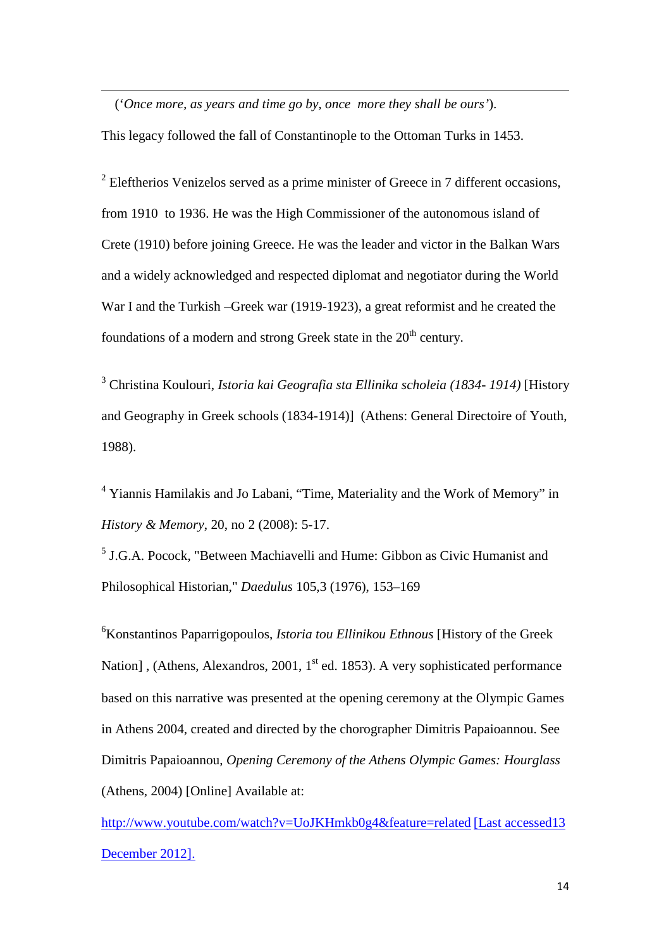('*Once more, as years and time go by, once more they shall be ours'*).

**.** 

This legacy followed the fall of Constantinople to the Ottoman Turks in 1453.

<span id="page-13-0"></span> $2$  Eleftherios Venizelos served as a prime minister of Greece in 7 different occasions, from 1910 to 1936. He was the High Commissioner of the autonomous island of Crete (1910) before joining Greece. He was the leader and victor in the Balkan Wars and a widely acknowledged and respected diplomat and negotiator during the World War I and the Turkish –Greek war (1919-1923), a great reformist and he created the foundations of a modern and strong Greek state in the  $20<sup>th</sup>$  century.

<span id="page-13-1"></span><sup>3</sup> Christina Koulouri, *Istoria kai Geografia sta Ellinika scholeia (1834- 1914)* [\[History](http://panteion.academia.edu/ChristinaKoulouri/Books/474783/Istoria_kai_Geografia_sta_ellenika_scholeia_Athens_1988_in_Greek_-_1834-1914_._._-_) [and Geography in Greek schools \(1834-1914\)\] \(Athens: General](http://panteion.academia.edu/ChristinaKoulouri/Books/474783/Istoria_kai_Geografia_sta_ellenika_scholeia_Athens_1988_in_Greek_-_1834-1914_._._-_) Directoire of Youth, 1988).

<span id="page-13-2"></span><sup>4</sup> Yiannis Hamilakis and Jo Labani, "Time, Materiality and the Work of Memory" in *History & Memory*, 20, no 2 (2008): 5-17.

<span id="page-13-3"></span><sup>5</sup> J.G.A. Pocock, "Between Machiavelli and Hume: Gibbon as Civic Humanist and Philosophical Historian," *Daedulus* 105,3 (1976), 153–169

<span id="page-13-4"></span>6 Konstantinos Paparrigopoulos, *Istoria tou Ellinikou Ethnous* [History of the Greek Nation], (Athens, Alexandros, 2001,  $1<sup>st</sup>$  ed. 1853). A very sophisticated performance based on this narrative was presented at the opening ceremony at the Olympic Games in Athens 2004, created and directed by the chorographer Dimitris Papaioannou. See Dimitris Papaioannou, *Opening Ceremony of the Athens Olympic Games: Hourglass* (Athens, 2004) [Online] Available at:

<http://www.youtube.com/watch?v=UoJKHmkb0g4&feature=related> [Last accessed13 December 2012].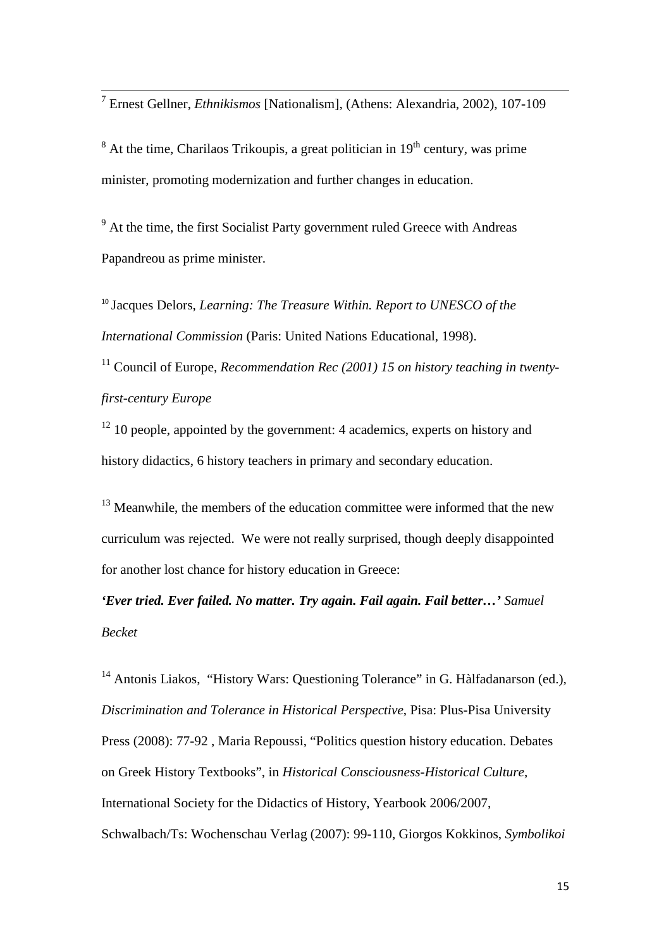<span id="page-14-0"></span><sup>7</sup> Ernest Gellner, *Ethnikismos* [Nationalism], (Athens: Alexandria, 2002), 107-109

<span id="page-14-1"></span> $8$  At the time, Charilaos Trikoupis, a great politician in  $19<sup>th</sup>$  century, was prime minister, promoting modernization and further changes in education.

<span id="page-14-2"></span><sup>9</sup> At the time, the first Socialist Party government ruled Greece with Andreas Papandreou as prime minister.

<span id="page-14-3"></span><sup>10</sup> Jacques Delors, *Learning: The Treasure Within. Report to UNESCO of the International Commission* (Paris: United Nations Educational, 1998).

<span id="page-14-4"></span><sup>11</sup> Council of Europe, *Recommendation Rec (2001) 15 on history teaching in twentyfirst-century Europe*

<span id="page-14-5"></span> $12$  10 people, appointed by the government: 4 academics, experts on history and history didactics, 6 history teachers in primary and secondary education.

<span id="page-14-6"></span> $13$  Meanwhile, the members of the education committee were informed that the new curriculum was rejected. We were not really surprised, though deeply disappointed for another lost chance for history education in Greece:

*'Ever tried. Ever failed. No matter. Try again. Fail again. Fail better…' Samuel Becket*

<span id="page-14-7"></span><sup>14</sup> Antonis Liakos, "History Wars: Questioning Tolerance" in G. Hàlfadanarson (ed.), *Discrimination and Tolerance in Historical Perspective*, Pisa: Plus-Pisa University Press (2008): 77-92 , Maria Repoussi, "Politics question history education. Debates on Greek History Textbooks", in *Historical Consciousness-Historical Culture*, International Society for the Didactics of History, Yearbook 2006/2007, Schwalbach/Ts: Wochenschau Verlag (2007): 99-110, Giorgos Kokkinos, *Symbolikoi*